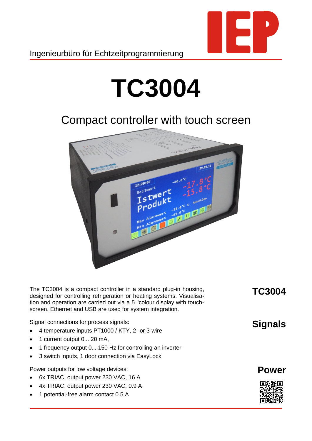

## **TC3004**

## Compact controller with touch screen



The TC3004 is a compact controller in a standard plug-in housing, designed for controlling refrigeration or heating systems. Visualisation and operation are carried out via a 5 "colour display with touchscreen, Ethernet and USB are used for system integration.

Signal connections for process signals:

- 4 temperature inputs PT1000 / KTY, 2- or 3-wire
- 1 current output 0... 20 mA,
- 1 frequency output 0... 150 Hz for controlling an inverter
- 3 switch inputs, 1 door connection via EasyLock

Power outputs for low voltage devices:

- 6x TRIAC, output power 230 VAC, 16 A
- 4x TRIAC, output power 230 VAC, 0.9 A
- 1 potential-free alarm contact 0.5 A

**TC3004**

**Signals**

## **Power**